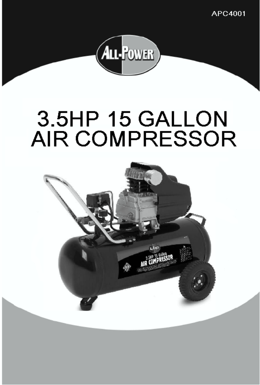APC4001



## 3.5HP 15 GALLON **AIR COMPRESSOR**

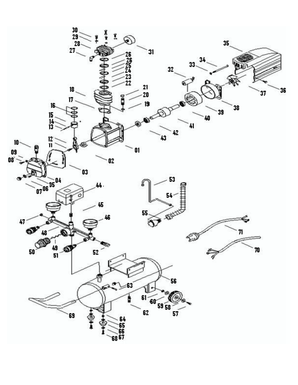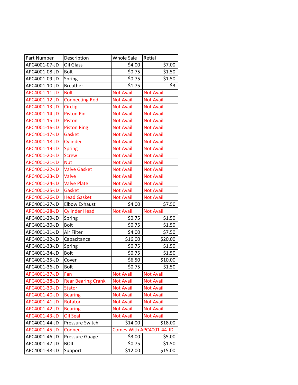| Part Number   | Description               | <b>Whole Sale</b> | Retial                   |
|---------------|---------------------------|-------------------|--------------------------|
| APC4001-07-JD | Oil Glass                 | \$4.00            | \$7.00                   |
| APC4001-08-JD | <b>Bolt</b>               | \$0.75            | \$1.50                   |
| APC4001-09-JD | Spring                    | \$0.75            | \$1.50                   |
| APC4001-10-JD | <b>Breather</b>           | \$1.75            | \$3                      |
| APC4001-11-JD | <b>Bolt</b>               | <b>Not Avail</b>  | <b>Not Avail</b>         |
| APC4001-12-JD | <b>Connecting Rod</b>     | <b>Not Avail</b>  | <b>Not Avail</b>         |
| APC4001-13-JD | <b>Circlip</b>            | <b>Not Avail</b>  | <b>Not Avail</b>         |
| APC4001-14-JD | <b>Piston Pin</b>         | <b>Not Avail</b>  | <b>Not Avail</b>         |
| APC4001-15-JD | Piston                    | <b>Not Avail</b>  | <b>Not Avail</b>         |
| APC4001-16-JD | <b>Piston Ring</b>        | <b>Not Avail</b>  | <b>Not Avail</b>         |
| APC4001-17-JD | Gasket                    | <b>Not Avail</b>  | <b>Not Avail</b>         |
| APC4001-18-JD | Cylinder                  | <b>Not Avail</b>  | <b>Not Avail</b>         |
| APC4001-19-JD | <b>Spring</b>             | <b>Not Avail</b>  | <b>Not Avail</b>         |
| APC4001-20-JD | <b>Screw</b>              | <b>Not Avail</b>  | <b>Not Avail</b>         |
| APC4001-21-JD | <b>Nut</b>                | <b>Not Avail</b>  | <b>Not Avail</b>         |
| APC4001-22-JD | <b>Valve Gasket</b>       | <b>Not Avail</b>  | <b>Not Avail</b>         |
| APC4001-23-JD | Valve                     | <b>Not Avail</b>  | <b>Not Avail</b>         |
| APC4001-24-JD | <b>Valve Plate</b>        | <b>Not Avail</b>  | <b>Not Avail</b>         |
| APC4001-25-JD | Gasket                    | <b>Not Avail</b>  | <b>Not Avail</b>         |
| APC4001-26-JD | <b>Head Gasket</b>        | <b>Not Avail</b>  | <b>Not Avail</b>         |
| APC4001-27-JD | <b>Elbow Exhaust</b>      | \$4.00            | \$7.50                   |
| APC4001-28-JD | <b>Cylinder Head</b>      | <b>Not Avail</b>  | <b>Not Avail</b>         |
| APC4001-29-JD | Spring                    | \$0.75            | \$1.50                   |
| APC4001-30-JD | <b>Bolt</b>               | \$0.75            | \$1.50                   |
| APC4001-31-JD | Air Filter                | \$4.00            | \$7.50                   |
| APC4001-32-JD | Capacitance               | \$16.00           | \$20.00                  |
| APC4001-33-JD | Spring                    | \$0.75            | \$1.50                   |
| APC4001-34-JD | <b>Bolt</b>               | \$0.75            | \$1.50                   |
| APC4001-35-JD | Cover                     | \$6.50            | \$10.00                  |
| APC4001-36-JD | <b>Bolt</b>               | \$0.75            | \$1.50                   |
| APC4001-37-JD | Fan                       | <b>Not Avail</b>  | <b>Not Avail</b>         |
| APC4001-38-JD | <b>Rear Bearing Crank</b> | <b>Not Avail</b>  | <b>Not Avail</b>         |
| APC4001-39-JD | <b>Stator</b>             | <b>Not Avail</b>  | <b>Not Avail</b>         |
| APC4001-40-JD | <b>Bearing</b>            | <b>Not Avail</b>  | <b>Not Avail</b>         |
| APC4001-41-JD | Rotator                   | <b>Not Avail</b>  | <b>Not Avail</b>         |
| APC4001-42-JD | <b>Bearing</b>            | <b>Not Avail</b>  | <b>Not Avail</b>         |
| APC4001-43-JD | <b>Oil Seal</b>           | <b>Not Avail</b>  | <b>Not Avail</b>         |
| APC4001-44-JD | Pressure Switch           | \$14.00           | \$18.00                  |
| APC4001-45-JD | <b>Connect</b>            |                   | Comes With APC4001-44-JD |
| APC4001-46-JD | Pressure Guage            | \$3.00            | \$5.00                   |
| APC4001-47-JD | <b>BOlt</b>               | \$0.75            | \$1.50                   |
| APC4001-48-JD | Support                   | \$12.00           | \$15.00                  |